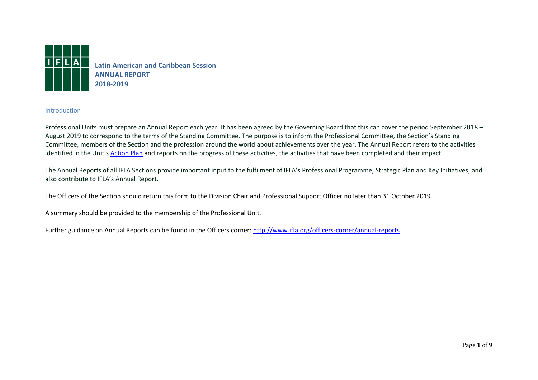

**Latin American and Caribbean Session ANNUAL REPORT 2018-2019**

#### **Introduction**

Professional Units must prepare an Annual Report each year. It has been agreed by the Governing Board that this can cover the period September 2018 – August 2019 to correspond to the terms of the Standing Committee. The purpose is to inform the Professional Committee, the Section's Standing Committee, members of the Section and the profession around the world about achievements over the year. The Annual Report refers to the activities identified in the Unit's [Action Plan](http://www.ifla.org/officers-corner/action-plans) and reports on the progress of these activities, the activities that have been completed and their impact.

The Annual Reports of all IFLA Sections provide important input to the fulfilment of IFLA's Professional Programme, Strategic Plan and Key Initiatives, and also contribute to IFLA's Annual Report.

The Officers of the Section should return this form to the Division Chair and Professional Support Officer no later than 31 October 2019.

A summary should be provided to the membership of the Professional Unit.

Further guidance on Annual Reports can be found in the Officers corner:<http://www.ifla.org/officers-corner/annual-reports>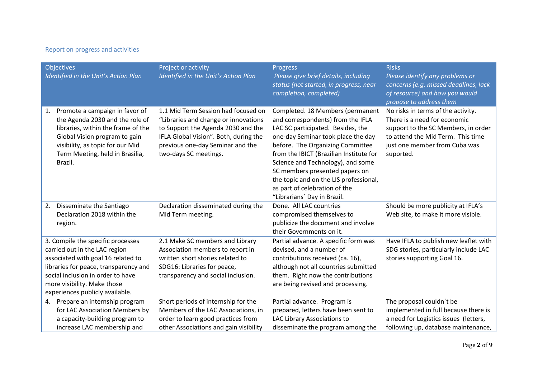## Report on progress and activities

|    | <b>Objectives</b><br><b>Identified in the Unit's Action Plan</b>                                                                                                                                                                                         | Project or activity<br>Identified in the Unit's Action Plan                                                                                                                                                             | Progress<br>Please give brief details, including<br>status (not started, in progress, near<br>completion, completed)                                                                                                                                                                                                                                                                                             | <b>Risks</b><br>Please identify any problems or<br>concerns (e.g. missed deadlines, lack<br>of resource) and how you would<br>propose to address them                                        |
|----|----------------------------------------------------------------------------------------------------------------------------------------------------------------------------------------------------------------------------------------------------------|-------------------------------------------------------------------------------------------------------------------------------------------------------------------------------------------------------------------------|------------------------------------------------------------------------------------------------------------------------------------------------------------------------------------------------------------------------------------------------------------------------------------------------------------------------------------------------------------------------------------------------------------------|----------------------------------------------------------------------------------------------------------------------------------------------------------------------------------------------|
| 1. | Promote a campaign in favor of<br>the Agenda 2030 and the role of<br>libraries, within the frame of the<br>Global Vision program to gain<br>visibility, as topic for our Mid<br>Term Meeting, held in Brasilia,<br>Brazil.                               | 1.1 Mid Term Session had focused on<br>"Libraries and change or innovations<br>to Support the Agenda 2030 and the<br>IFLA Global Vision". Both, during the<br>previous one-day Seminar and the<br>two-days SC meetings. | Completed. 18 Members (permanent<br>and correspondents) from the IFLA<br>LAC SC participated. Besides, the<br>one-day Seminar took place the day<br>before. The Organizing Committee<br>from the IBICT (Brazilian Institute for<br>Science and Technology), and some<br>SC members presented papers on<br>the topic and on the LIS professional,<br>as part of celebration of the<br>"Librarians' Day in Brazil. | No risks in terms of the activity.<br>There is a need for economic<br>support to the SC Members, in order<br>to attend the Mid Term. This time<br>just one member from Cuba was<br>suported. |
| 2. | Disseminate the Santiago<br>Declaration 2018 within the<br>region.                                                                                                                                                                                       | Declaration disseminated during the<br>Mid Term meeting.                                                                                                                                                                | Done. All LAC countries<br>compromised themselves to<br>publicize the document and involve<br>their Governments on it.                                                                                                                                                                                                                                                                                           | Should be more publicity at IFLA's<br>Web site, to make it more visible.                                                                                                                     |
|    | 3. Compile the specific processes<br>carried out in the LAC region<br>associated with goal 16 related to<br>libraries for peace, transparency and<br>social inclusion in order to have<br>more visibility. Make those<br>experiences publicly available. | 2.1 Make SC members and Library<br>Association members to report in<br>written short stories related to<br>SDG16: Libraries for peace,<br>transparency and social inclusion.                                            | Partial advance. A specific form was<br>devised, and a number of<br>contributions received (ca. 16),<br>although not all countries submitted<br>them. Right now the contributions<br>are being revised and processing.                                                                                                                                                                                           | Have IFLA to publish new leaflet with<br>SDG stories, particularly include LAC<br>stories supporting Goal 16.                                                                                |
| 4. | Prepare an internship program<br>for LAC Association Members by<br>a capacity-building program to<br>increase LAC membership and                                                                                                                         | Short periods of internship for the<br>Members of the LAC Associations, in<br>order to learn good practices from<br>other Associations and gain visibility                                                              | Partial advance. Program is<br>prepared, letters have been sent to<br>LAC Library Associations to<br>disseminate the program among the                                                                                                                                                                                                                                                                           | The proposal couldn't be<br>implemented in full because there is<br>a need for Logistics issues (letters,<br>following up, database maintenance,                                             |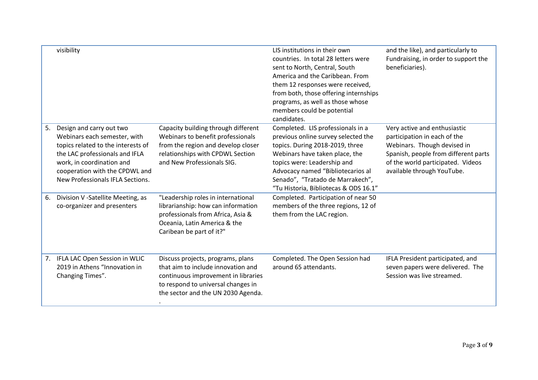|    | visibility                                                                                                                                                                                                                          |                                                                                                                                                                                            | LIS institutions in their own<br>countries. In total 28 letters were<br>sent to North, Central, South<br>America and the Caribbean. From<br>them 12 responses were received,<br>from both, those offering internships<br>programs, as well as those whose<br>members could be potential<br>candidates. | and the like), and particularly to<br>Fundraising, in order to support the<br>beneficiaries).                                                                                                          |
|----|-------------------------------------------------------------------------------------------------------------------------------------------------------------------------------------------------------------------------------------|--------------------------------------------------------------------------------------------------------------------------------------------------------------------------------------------|--------------------------------------------------------------------------------------------------------------------------------------------------------------------------------------------------------------------------------------------------------------------------------------------------------|--------------------------------------------------------------------------------------------------------------------------------------------------------------------------------------------------------|
| 5. | Design and carry out two<br>Webinars each semester, with<br>topics related to the interests of<br>the LAC professionals and IFLA<br>work, in coordination and<br>cooperation with the CPDWL and<br>New Professionals IFLA Sections. | Capacity building through different<br>Webinars to benefit professionals<br>from the region and develop closer<br>relationships with CPDWL Section<br>and New Professionals SIG.           | Completed. LIS professionals in a<br>previous online survey selected the<br>topics. During 2018-2019, three<br>Webinars have taken place, the<br>topics were: Leadership and<br>Advocacy named "Bibliotecarios al<br>Senado", "Tratado de Marrakech",<br>"Tu Historia, Bibliotecas & ODS 16.1"         | Very active and enthusiastic<br>participation in each of the<br>Webinars. Though devised in<br>Spanish, people from different parts<br>of the world participated. Videos<br>available through YouTube. |
| 6. | Division V -Satellite Meeting, as<br>co-organizer and presenters                                                                                                                                                                    | "Leadership roles in international<br>librarianship: how can information<br>professionals from Africa, Asia &<br>Oceania, Latin America & the<br>Caribean be part of it?"                  | Completed. Participation of near 50<br>members of the three regions, 12 of<br>them from the LAC region.                                                                                                                                                                                                |                                                                                                                                                                                                        |
|    | 7. IFLA LAC Open Session in WLIC<br>2019 in Athens "Innovation in<br>Changing Times".                                                                                                                                               | Discuss projects, programs, plans<br>that aim to include innovation and<br>continuous improvement in libraries<br>to respond to universal changes in<br>the sector and the UN 2030 Agenda. | Completed. The Open Session had<br>around 65 attendants.                                                                                                                                                                                                                                               | IFLA President participated, and<br>seven papers were delivered. The<br>Session was live streamed.                                                                                                     |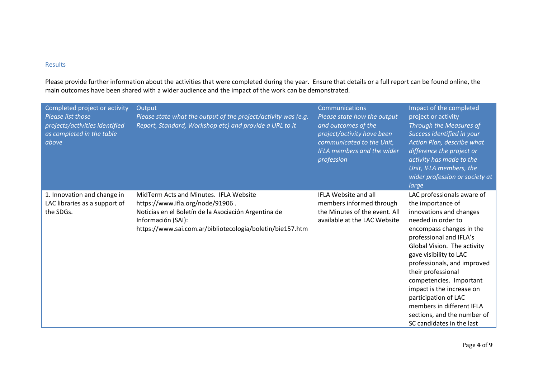### Results

Please provide further information about the activities that were completed during the year. Ensure that details or a full report can be found online, the main outcomes have been shared with a wider audience and the impact of the work can be demonstrated.

| Completed project or activity<br>Please list those<br>projects/activities identified<br>as completed in the table<br>above | Output<br>Please state what the output of the project/activity was (e.g.<br>Report, Standard, Workshop etc) and provide a URL to it                                                                                   | Communications<br>Please state how the output<br>and outcomes of the<br>project/activity have been<br>communicated to the Unit,<br><b>IFLA members and the wider</b><br>profession | Impact of the completed<br>project or activity<br>Through the Measures of<br>Success identified in your<br>Action Plan, describe what<br>difference the project or<br>activity has made to the<br>Unit, IFLA members, the<br>wider profession or society at<br>large                                                                                                                                                                           |
|----------------------------------------------------------------------------------------------------------------------------|-----------------------------------------------------------------------------------------------------------------------------------------------------------------------------------------------------------------------|------------------------------------------------------------------------------------------------------------------------------------------------------------------------------------|------------------------------------------------------------------------------------------------------------------------------------------------------------------------------------------------------------------------------------------------------------------------------------------------------------------------------------------------------------------------------------------------------------------------------------------------|
| 1. Innovation and change in<br>LAC libraries as a support of<br>the SDGs.                                                  | MidTerm Acts and Minutes. IFLA Website<br>https://www.ifla.org/node/91906.<br>Noticias en el Boletín de la Asociación Argentina de<br>Información (SAI):<br>https://www.sai.com.ar/bibliotecologia/boletin/bie157.htm | IFLA Website and all<br>members informed through<br>the Minutes of the event. All<br>available at the LAC Website                                                                  | LAC professionals aware of<br>the importance of<br>innovations and changes<br>needed in order to<br>encompass changes in the<br>professional and IFLA's<br>Global Vision. The activity<br>gave visibility to LAC<br>professionals, and improved<br>their professional<br>competencies. Important<br>impact is the increase on<br>participation of LAC<br>members in different IFLA<br>sections, and the number of<br>SC candidates in the last |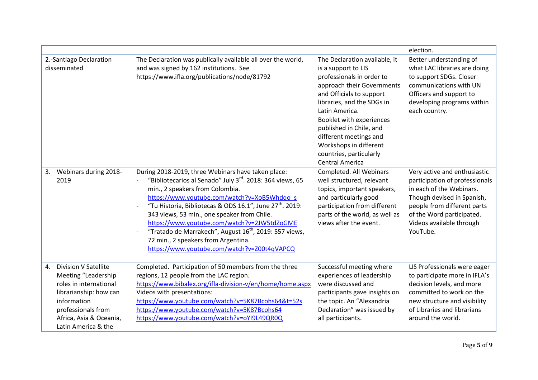|    |                                                                                                                                                                                               |                                                                                                                                                                                                                                                                                                                                                                                                                                                                                                                                                 |                                                                                                                                                                                                                                                                                                                                                             | election.                                                                                                                                                                                                                    |
|----|-----------------------------------------------------------------------------------------------------------------------------------------------------------------------------------------------|-------------------------------------------------------------------------------------------------------------------------------------------------------------------------------------------------------------------------------------------------------------------------------------------------------------------------------------------------------------------------------------------------------------------------------------------------------------------------------------------------------------------------------------------------|-------------------------------------------------------------------------------------------------------------------------------------------------------------------------------------------------------------------------------------------------------------------------------------------------------------------------------------------------------------|------------------------------------------------------------------------------------------------------------------------------------------------------------------------------------------------------------------------------|
|    | 2.-Santiago Declaration<br>disseminated                                                                                                                                                       | The Declaration was publically available all over the world,<br>and was signed by 162 institutions. See<br>https://www.ifla.org/publications/node/81792                                                                                                                                                                                                                                                                                                                                                                                         | The Declaration available, it<br>is a support to LIS<br>professionals in order to<br>approach their Governments<br>and Officials to support<br>libraries, and the SDGs in<br>Latin America.<br>Booklet with experiences<br>published in Chile, and<br>different meetings and<br>Workshops in different<br>countries, particularly<br><b>Central America</b> | Better understanding of<br>what LAC libraries are doing<br>to support SDGs. Closer<br>communications with UN<br>Officers and support to<br>developing programs within<br>each country.                                       |
| 3. | Webinars during 2018-<br>2019                                                                                                                                                                 | During 2018-2019, three Webinars have taken place:<br>"Bibliotecarios al Senado" July 3 <sup>rd</sup> . 2018: 364 views, 65<br>min., 2 speakers from Colombia.<br>https://www.youtube.com/watch?v=XoB5Whdqo s<br>"Tu Historia, Bibliotecas & ODS 16.1", June 27 <sup>th</sup> . 2019:<br>343 views, 53 min., one speaker from Chile.<br>https://www.youtube.com/watch?v=2JW5tdZoGME<br>"Tratado de Marrakech", August 16 <sup>th</sup> , 2019: 557 views,<br>72 min., 2 speakers from Argentina.<br>https://www.youtube.com/watch?v=Z00t4qVAPCQ | Completed. All Webinars<br>well structured, relevant<br>topics, important speakers,<br>and particularly good<br>participation from different<br>parts of the world, as well as<br>views after the event.                                                                                                                                                    | Very active and enthusiastic<br>participation of professionals<br>in each of the Webinars.<br>Though devised in Spanish,<br>people from different parts<br>of the Word participated.<br>Videos available through<br>YouTube. |
| 4. | <b>Division V Satellite</b><br>Meeting "Leadership<br>roles in international<br>librarianship: how can<br>information<br>professionals from<br>Africa, Asia & Oceania,<br>Latin America & the | Completed. Participation of 50 members from the three<br>regions, 12 people from the LAC region.<br>https://www.bibalex.org/ifla-division-v/en/home/home.aspx<br>Videos with presentations:<br>https://www.youtube.com/watch?v=5K87Bcohs64&t=52s<br>https://www.youtube.com/watch?v=5K87Bcohs64<br>https://www.youtube.com/watch?v=oYI9L49QR0Q                                                                                                                                                                                                  | Successful meeting where<br>experiences of leadership<br>were discussed and<br>participants gave insights on<br>the topic. An "Alexandria<br>Declaration" was issued by<br>all participants.                                                                                                                                                                | LIS Professionals were eager<br>to participate more in IFLA's<br>decision levels, and more<br>committed to work on the<br>new structure and visibility<br>of Libraries and librarians<br>around the world.                   |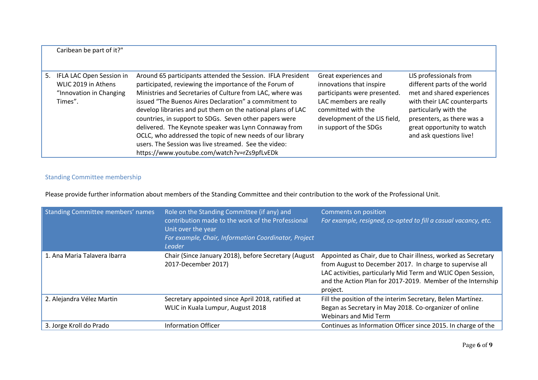| Caribean be part of it?"                                                                 |                                                                                                                                                                                                                                                                                                                                                                                                                                                                                                                                                                                                   |                                                                                                                                                                                              |                                                                                                                                                                                                                                     |
|------------------------------------------------------------------------------------------|---------------------------------------------------------------------------------------------------------------------------------------------------------------------------------------------------------------------------------------------------------------------------------------------------------------------------------------------------------------------------------------------------------------------------------------------------------------------------------------------------------------------------------------------------------------------------------------------------|----------------------------------------------------------------------------------------------------------------------------------------------------------------------------------------------|-------------------------------------------------------------------------------------------------------------------------------------------------------------------------------------------------------------------------------------|
| 5. IFLA LAC Open Session in<br>WLIC 2019 in Athens<br>"Innovation in Changing<br>Times". | Around 65 participants attended the Session. IFLA President<br>participated, reviewing the importance of the Forum of<br>Ministries and Secretaries of Culture from LAC, where was<br>issued "The Buenos Aires Declaration" a commitment to<br>develop libraries and put them on the national plans of LAC<br>countries, in support to SDGs. Seven other papers were<br>delivered. The Keynote speaker was Lynn Connaway from<br>OCLC, who addressed the topic of new needs of our library<br>users. The Session was live streamed. See the video:<br>https://www.youtube.com/watch?v=rZs9pfLvEDk | Great experiences and<br>innovations that inspire<br>participants were presented.<br>LAC members are really<br>committed with the<br>development of the LIS field,<br>in support of the SDGs | LIS professionals from<br>different parts of the world<br>met and shared experiences<br>with their LAC counterparts<br>particularly with the<br>presenters, as there was a<br>great opportunity to watch<br>and ask questions live! |

# Standing Committee membership

Please provide further information about members of the Standing Committee and their contribution to the work of the Professional Unit.

| Standing Committee members' names | Role on the Standing Committee (if any) and<br>contribution made to the work of the Professional<br>Unit over the year<br>For example, Chair, Information Coordinator, Project<br><b>Leader</b> | Comments on position<br>For example, resigned, co-opted to fill a casual vacancy, etc.                                                                                                                                                                               |
|-----------------------------------|-------------------------------------------------------------------------------------------------------------------------------------------------------------------------------------------------|----------------------------------------------------------------------------------------------------------------------------------------------------------------------------------------------------------------------------------------------------------------------|
| 1. Ana Maria Talavera Ibarra      | Chair (Since January 2018), before Secretary (August<br>2017-December 2017)                                                                                                                     | Appointed as Chair, due to Chair illness, worked as Secretary<br>from August to December 2017. In charge to supervise all<br>LAC activities, particularly Mid Term and WLIC Open Session,<br>and the Action Plan for 2017-2019. Member of the Internship<br>project. |
| 2. Alejandra Vélez Martin         | Secretary appointed since April 2018, ratified at<br>WLIC in Kuala Lumpur, August 2018                                                                                                          | Fill the position of the interim Secretary, Belen Martínez.<br>Began as Secretary in May 2018. Co-organizer of online<br><b>Webinars and Mid Term</b>                                                                                                                |
| 3. Jorge Kroll do Prado           | <b>Information Officer</b>                                                                                                                                                                      | Continues as Information Officer since 2015. In charge of the                                                                                                                                                                                                        |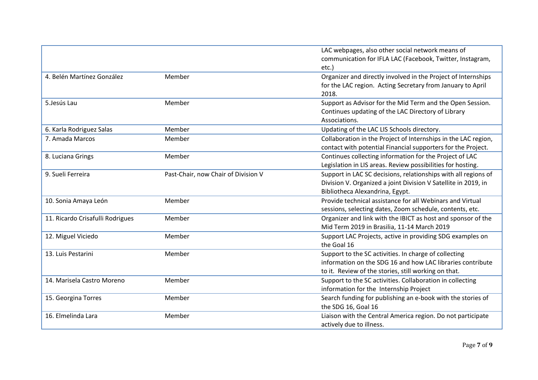|                                  |                                     | LAC webpages, also other social network means of<br>communication for IFLA LAC (Facebook, Twitter, Instagram,<br>etc.)                                                      |
|----------------------------------|-------------------------------------|-----------------------------------------------------------------------------------------------------------------------------------------------------------------------------|
| 4. Belén Martínez González       | Member                              | Organizer and directly involved in the Project of Internships<br>for the LAC region. Acting Secretary from January to April<br>2018.                                        |
| 5.Jesús Lau                      | Member                              | Support as Advisor for the Mid Term and the Open Session.<br>Continues updating of the LAC Directory of Library<br>Associations.                                            |
| 6. Karla Rodriguez Salas         | Member                              | Updating of the LAC LIS Schools directory.                                                                                                                                  |
| 7. Amada Marcos                  | Member                              | Collaboration in the Project of Internships in the LAC region,<br>contact with potential Financial supporters for the Project.                                              |
| 8. Luciana Grings                | Member                              | Continues collecting information for the Project of LAC<br>Legislation in LIS areas. Review possibilities for hosting.                                                      |
| 9. Sueli Ferreira                | Past-Chair, now Chair of Division V | Support in LAC SC decisions, relationships with all regions of<br>Division V. Organized a joint Division V Satellite in 2019, in<br>Bibliotheca Alexandrina, Egypt.         |
| 10. Sonia Amaya León             | Member                              | Provide technical assistance for all Webinars and Virtual<br>sessions, selecting dates, Zoom schedule, contents, etc.                                                       |
| 11. Ricardo Crisafulli Rodrigues | Member                              | Organizer and link with the IBICT as host and sponsor of the<br>Mid Term 2019 in Brasilia, 11-14 March 2019                                                                 |
| 12. Miguel Viciedo               | Member                              | Support LAC Projects, active in providing SDG examples on<br>the Goal 16                                                                                                    |
| 13. Luis Pestarini               | Member                              | Support to the SC activities. In charge of collecting<br>information on the SDG 16 and how LAC libraries contribute<br>to it. Review of the stories, still working on that. |
| 14. Marisela Castro Moreno       | Member                              | Support to the SC activities. Collaboration in collecting<br>information for the Internship Project                                                                         |
| 15. Georgina Torres              | Member                              | Search funding for publishing an e-book with the stories of<br>the SDG 16, Goal 16                                                                                          |
| 16. Elmelinda Lara               | Member                              | Liaison with the Central America region. Do not participate<br>actively due to illness.                                                                                     |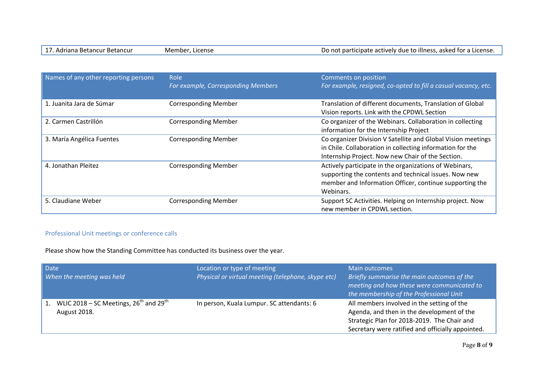| 17. Adriana Betancur Betancur | Member, License | Do not participate actively due to illness, asked for a License. |
|-------------------------------|-----------------|------------------------------------------------------------------|
|                               |                 |                                                                  |

| Names of any other reporting persons | Role<br>For example, Corresponding Members | Comments on position<br>For example, resigned, co-opted to fill a casual vacancy, etc.                                                                                                  |
|--------------------------------------|--------------------------------------------|-----------------------------------------------------------------------------------------------------------------------------------------------------------------------------------------|
| 1. Juanita Jara de Súmar             | <b>Corresponding Member</b>                | Translation of different documents, Translation of Global<br>Vision reports. Link with the CPDWL Section                                                                                |
| 2. Carmen Castrillón                 | <b>Corresponding Member</b>                | Co organizer of the Webinars. Collaboration in collecting<br>information for the Internship Project                                                                                     |
| 3. María Angélica Fuentes            | <b>Corresponding Member</b>                | Co organizer Division V Satellite and Global Vision meetings<br>in Chile. Collaboration in collecting information for the<br>Internship Project. Now new Chair of the Section.          |
| 4. Jonathan Pleitez                  | <b>Corresponding Member</b>                | Actively participate in the organizations of Webinars,<br>supporting the contents and technical issues. Now new<br>member and Information Officer, continue supporting the<br>Webinars. |
| 5. Claudiane Weber                   | <b>Corresponding Member</b>                | Support SC Activities. Helping on Internship project. Now<br>new member in CPDWL section.                                                                                               |

# Professional Unit meetings or conference calls

Please show how the Standing Committee has conducted its business over the year.

| <b>Date</b><br>When the meeting was held                               | Location or type of meeting<br>Physical or virtual meeting (telephone, skype etc) | Main outcomes<br>Briefly summarise the main outcomes of the<br>meeting and how these were communicated to<br>the membership of the Professional Unit                                         |
|------------------------------------------------------------------------|-----------------------------------------------------------------------------------|----------------------------------------------------------------------------------------------------------------------------------------------------------------------------------------------|
| WLIC 2018 – SC Meetings, $26^{th}$ and $29^{th}$<br>1.<br>August 2018. | In person, Kuala Lumpur. SC attendants: 6                                         | All members involved in the setting of the<br>Agenda, and then in the development of the<br>Strategic Plan for 2018-2019. The Chair and<br>Secretary were ratified and officially appointed. |